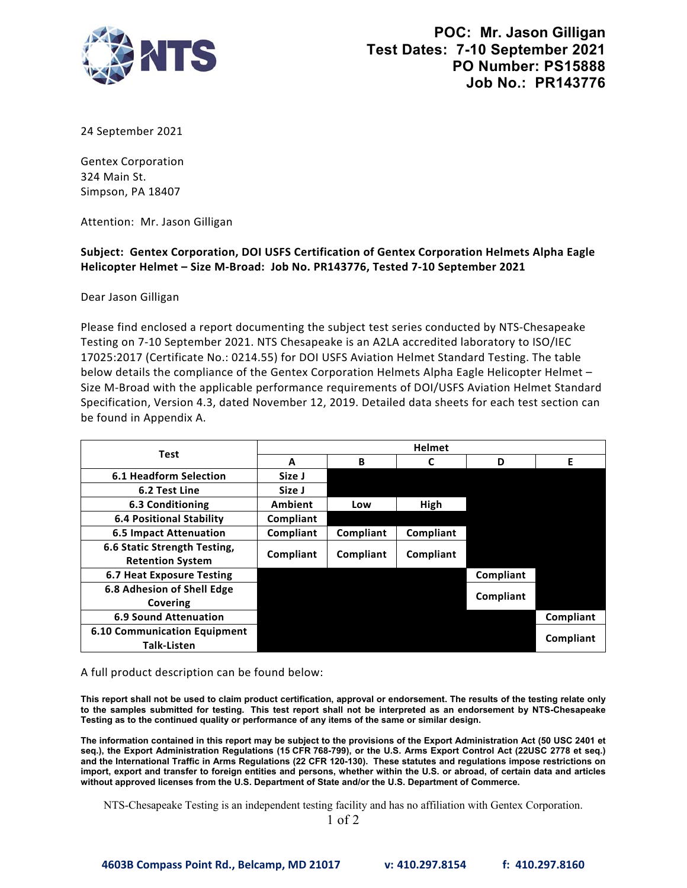

| <b>TTS</b>                                                                                                                                                                                                                                                                                                                                                                                                                                                                                                                                                                                                                                                                                                                                                                                                                                                                                                                     |                |           |              |                                                                                                           | POC: Mr. Jason Gilligan<br>Test Dates: 7-10 September 2021<br>PO Number: PS15888<br><b>Job No.: PR143776</b> |
|--------------------------------------------------------------------------------------------------------------------------------------------------------------------------------------------------------------------------------------------------------------------------------------------------------------------------------------------------------------------------------------------------------------------------------------------------------------------------------------------------------------------------------------------------------------------------------------------------------------------------------------------------------------------------------------------------------------------------------------------------------------------------------------------------------------------------------------------------------------------------------------------------------------------------------|----------------|-----------|--------------|-----------------------------------------------------------------------------------------------------------|--------------------------------------------------------------------------------------------------------------|
| 24 September 2021                                                                                                                                                                                                                                                                                                                                                                                                                                                                                                                                                                                                                                                                                                                                                                                                                                                                                                              |                |           |              |                                                                                                           |                                                                                                              |
| <b>Gentex Corporation</b><br>324 Main St.<br>Simpson, PA 18407                                                                                                                                                                                                                                                                                                                                                                                                                                                                                                                                                                                                                                                                                                                                                                                                                                                                 |                |           |              |                                                                                                           |                                                                                                              |
| Attention: Mr. Jason Gilligan                                                                                                                                                                                                                                                                                                                                                                                                                                                                                                                                                                                                                                                                                                                                                                                                                                                                                                  |                |           |              |                                                                                                           |                                                                                                              |
| Subject: Gentex Corporation, DOI USFS Certification of Gentex Corporation Helmets Alpha Eagle<br>Helicopter Helmet - Size M-Broad: Job No. PR143776, Tested 7-10 September 2021                                                                                                                                                                                                                                                                                                                                                                                                                                                                                                                                                                                                                                                                                                                                                |                |           |              |                                                                                                           |                                                                                                              |
| Dear Jason Gilligan                                                                                                                                                                                                                                                                                                                                                                                                                                                                                                                                                                                                                                                                                                                                                                                                                                                                                                            |                |           |              |                                                                                                           |                                                                                                              |
| Please find enclosed a report documenting the subject test series conducted by NTS-Chesapeake<br>Testing on 7-10 September 2021. NTS Chesapeake is an A2LA accredited laboratory to ISO/IEC<br>17025:2017 (Certificate No.: 0214.55) for DOI USFS Aviation Helmet Standard Testing. The table<br>below details the compliance of the Gentex Corporation Helmets Alpha Eagle Helicopter Helmet -<br>Size M-Broad with the applicable performance requirements of DOI/USFS Aviation Helmet Standard<br>Specification, Version 4.3, dated November 12, 2019. Detailed data sheets for each test section can<br>be found in Appendix A.                                                                                                                                                                                                                                                                                            |                |           |              |                                                                                                           |                                                                                                              |
|                                                                                                                                                                                                                                                                                                                                                                                                                                                                                                                                                                                                                                                                                                                                                                                                                                                                                                                                | <b>Helmet</b>  |           |              |                                                                                                           |                                                                                                              |
| <b>Test</b>                                                                                                                                                                                                                                                                                                                                                                                                                                                                                                                                                                                                                                                                                                                                                                                                                                                                                                                    | A              | B         | $\mathsf{C}$ | D                                                                                                         | E                                                                                                            |
| <b>6.1 Headform Selection</b>                                                                                                                                                                                                                                                                                                                                                                                                                                                                                                                                                                                                                                                                                                                                                                                                                                                                                                  | Size J         |           |              |                                                                                                           |                                                                                                              |
| 6.2 Test Line                                                                                                                                                                                                                                                                                                                                                                                                                                                                                                                                                                                                                                                                                                                                                                                                                                                                                                                  | Size J         |           |              |                                                                                                           |                                                                                                              |
| 6.3 Conditioning                                                                                                                                                                                                                                                                                                                                                                                                                                                                                                                                                                                                                                                                                                                                                                                                                                                                                                               | <b>Ambient</b> | Low       | High         |                                                                                                           |                                                                                                              |
| <b>6.4 Positional Stability</b>                                                                                                                                                                                                                                                                                                                                                                                                                                                                                                                                                                                                                                                                                                                                                                                                                                                                                                | Compliant      |           |              |                                                                                                           |                                                                                                              |
| <b>6.5 Impact Attenuation</b>                                                                                                                                                                                                                                                                                                                                                                                                                                                                                                                                                                                                                                                                                                                                                                                                                                                                                                  | Compliant      | Compliant | Compliant    |                                                                                                           |                                                                                                              |
| 6.6 Static Strength Testing,                                                                                                                                                                                                                                                                                                                                                                                                                                                                                                                                                                                                                                                                                                                                                                                                                                                                                                   | Compliant      | Compliant | Compliant    |                                                                                                           |                                                                                                              |
| <b>Retention System</b><br><b>6.7 Heat Exposure Testing</b>                                                                                                                                                                                                                                                                                                                                                                                                                                                                                                                                                                                                                                                                                                                                                                                                                                                                    |                |           |              | Compliant                                                                                                 |                                                                                                              |
| 6.8 Adhesion of Shell Edge                                                                                                                                                                                                                                                                                                                                                                                                                                                                                                                                                                                                                                                                                                                                                                                                                                                                                                     |                |           |              |                                                                                                           |                                                                                                              |
| Covering                                                                                                                                                                                                                                                                                                                                                                                                                                                                                                                                                                                                                                                                                                                                                                                                                                                                                                                       |                |           |              | Compliant                                                                                                 |                                                                                                              |
| <b>6.9 Sound Attenuation</b>                                                                                                                                                                                                                                                                                                                                                                                                                                                                                                                                                                                                                                                                                                                                                                                                                                                                                                   |                |           |              |                                                                                                           | Compliant                                                                                                    |
| <b>6.10 Communication Equipment</b><br><b>Talk-Listen</b>                                                                                                                                                                                                                                                                                                                                                                                                                                                                                                                                                                                                                                                                                                                                                                                                                                                                      |                |           |              |                                                                                                           | Compliant                                                                                                    |
| A full product description can be found below:<br>This report shall not be used to claim product certification, approval or endorsement. The results of the testing relate only<br>to the samples submitted for testing. This test report shall not be interpreted as an endorsement by NTS-Chesapeake<br>Testing as to the continued quality or performance of any items of the same or similar design.<br>The information contained in this report may be subject to the provisions of the Export Administration Act (50 USC 2401 et<br>seq.), the Export Administration Regulations (15 CFR 768-799), or the U.S. Arms Export Control Act (22USC 2778 et seq.)<br>and the International Traffic in Arms Regulations (22 CFR 120-130). These statutes and regulations impose restrictions on<br>import, export and transfer to foreign entities and persons, whether within the U.S. or abroad, of certain data and articles |                |           |              |                                                                                                           |                                                                                                              |
| without approved licenses from the U.S. Department of State and/or the U.S. Department of Commerce.                                                                                                                                                                                                                                                                                                                                                                                                                                                                                                                                                                                                                                                                                                                                                                                                                            |                |           |              | NTS-Chesapeake Testing is an independent testing facility and has no affiliation with Gentex Corporation. |                                                                                                              |

1 of 2